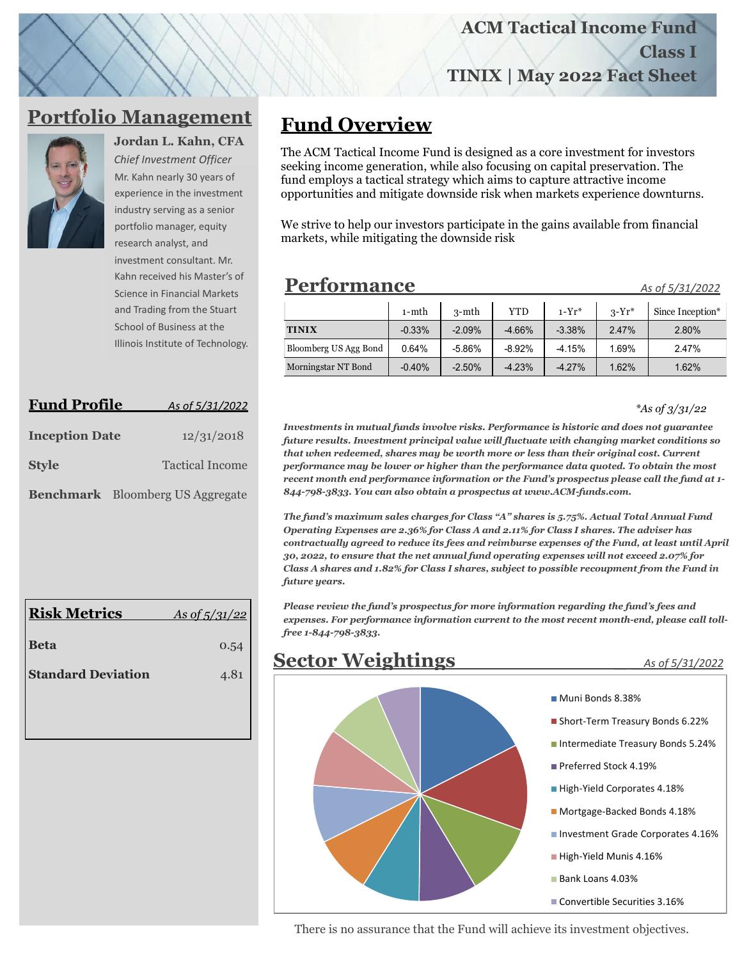## **ACM Tactical Income Fund Class I**

**TINIX | May 2022 Fact Sheet**

## **Portfolio Management**



**Jordan L. Kahn, CFA** *Chief Investment Officer* 

Mr. Kahn nearly 30 years of experience in the investment industry serving as a senior portfolio manager, equity research analyst, and investment consultant. Mr. Kahn received his Master's of Science in Financial Markets and Trading from the Stuart School of Business at the Illinois Institute of Technology.

| <b>Fund Profile</b>   | As of 5/31/2022                         |
|-----------------------|-----------------------------------------|
| <b>Inception Date</b> | 12/31/2018                              |
| <b>Style</b>          | <b>Tactical Income</b>                  |
|                       | <b>Benchmark</b> Bloomberg US Aggregate |

| <b>Risk Metrics</b>       | As of $5/31/22$ |
|---------------------------|-----------------|
| <b>Beta</b>               | 0.54            |
| <b>Standard Deviation</b> | 4.81            |
|                           |                 |

## **Fund Overview**

The ACM Tactical Income Fund is designed as a core investment for investors seeking income generation, while also focusing on capital preservation. The fund employs a tactical strategy which aims to capture attractive income opportunities and mitigate downside risk when markets experience downturns.

We strive to help our investors participate in the gains available from financial markets, while mitigating the downside risk

## **Performance\_\_\_\_\_\_\_\_\_\_\_\_ \_ \_** *As of 5/31/2022*

|                       | 1-mth    | $3-$ mth  | <b>YTD</b> | $1-Yr^*$ | $3-Yr^*$ | Since Inception* |
|-----------------------|----------|-----------|------------|----------|----------|------------------|
| <b>TINIX</b>          | $-0.33%$ | $-2.09%$  | $-4.66%$   | $-3.38%$ | 2.47%    | 2.80%            |
| Bloomberg US Agg Bond | 0.64%    | $-5.86\%$ | $-8.92%$   | $-4.15%$ | 1.69%    | 2.47%            |
| Morningstar NT Bond   | $-0.40%$ | $-2.50%$  | $-4.23%$   | $-4.27%$ | 1.62%    | 1.62%            |

*\*As of 3/31/22*

*Investments in mutual funds involve risks. Performance is historic and does not guarantee future results. Investment principal value will fluctuate with changing market conditions so that when redeemed, shares may be worth more or less than their original cost. Current performance may be lower or higher than the performance data quoted. To obtain the most recent month end performance information or the Fund's prospectus please call the fund at 1- 844-798-3833. You can also obtain a prospectus at www.ACM-funds.com.* 

*The fund's maximum sales charges for Class "A" shares is 5.75%. Actual Total Annual Fund Operating Expenses are 2.36% for Class A and 2.11% for Class I shares. The adviser has contractually agreed to reduce its fees and reimburse expenses of the Fund, at least until April 30, 2022, to ensure that the net annual fund operating expenses will not exceed 2.07% for Class A shares and 1.82% for Class I shares, subject to possible recoupment from the Fund in future years.*

*Please review the fund's prospectus for more information regarding the fund's fees and expenses. For performance information current to the most recent month-end, please call tollfree 1-844-798-3833.*



There is no assurance that the Fund will achieve its investment objectives.